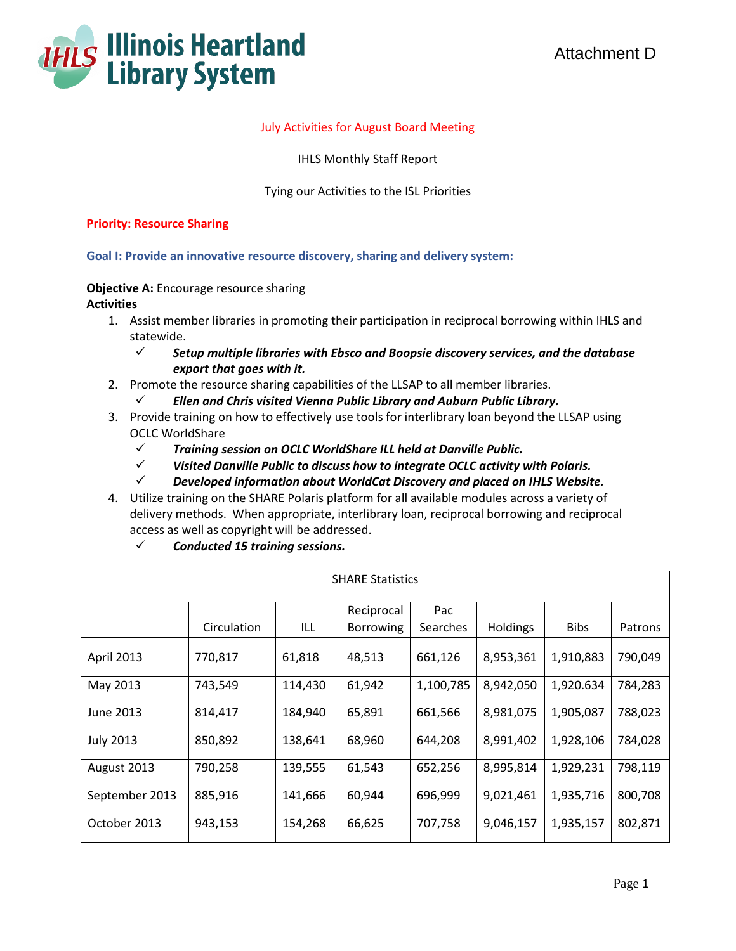

## July Activities for August Board Meeting

IHLS Monthly Staff Report

## Tying our Activities to the ISL Priorities

#### **Priority: Resource Sharing**

### **Goal I: Provide an innovative resource discovery, sharing and delivery system:**

#### **Objective A:** Encourage resource sharing **Activities**

- 1. Assist member libraries in promoting their participation in reciprocal borrowing within IHLS and statewide.
	- *Setup multiple libraries with Ebsco and Boopsie discovery services, and the database export that goes with it.*
- 2. Promote the resource sharing capabilities of the LLSAP to all member libraries.
	- *Ellen and Chris visited Vienna Public Library and Auburn Public Library.*
- 3. Provide training on how to effectively use tools for interlibrary loan beyond the LLSAP using OCLC WorldShare
	- *Training session on OCLC WorldShare ILL held at Danville Public.*
	- *Visited Danville Public to discuss how to integrate OCLC activity with Polaris.*
	- *Developed information about WorldCat Discovery and placed on IHLS Website.*
- 4. Utilize training on the SHARE Polaris platform for all available modules across a variety of delivery methods. When appropriate, interlibrary loan, reciprocal borrowing and reciprocal access as well as copyright will be addressed.
	- *Conducted 15 training sessions.*

| <b>SHARE Statistics</b> |             |         |                  |                 |                 |             |         |
|-------------------------|-------------|---------|------------------|-----------------|-----------------|-------------|---------|
|                         |             |         | Reciprocal       | Pac             |                 |             |         |
|                         | Circulation | ILL     | <b>Borrowing</b> | <b>Searches</b> | <b>Holdings</b> | <b>Bibs</b> | Patrons |
|                         |             |         |                  |                 |                 |             |         |
| April 2013              | 770,817     | 61,818  | 48,513           | 661,126         | 8,953,361       | 1,910,883   | 790,049 |
| May 2013                | 743,549     | 114,430 | 61,942           | 1,100,785       | 8,942,050       | 1,920.634   | 784,283 |
| June 2013               | 814,417     | 184,940 | 65,891           | 661,566         | 8,981,075       | 1,905,087   | 788,023 |
| <b>July 2013</b>        | 850,892     | 138,641 | 68,960           | 644,208         | 8,991,402       | 1,928,106   | 784,028 |
| August 2013             | 790,258     | 139,555 | 61,543           | 652,256         | 8,995,814       | 1,929,231   | 798,119 |
| September 2013          | 885,916     | 141,666 | 60,944           | 696,999         | 9,021,461       | 1,935,716   | 800,708 |
| October 2013            | 943,153     | 154,268 | 66,625           | 707,758         | 9,046,157       | 1,935,157   | 802,871 |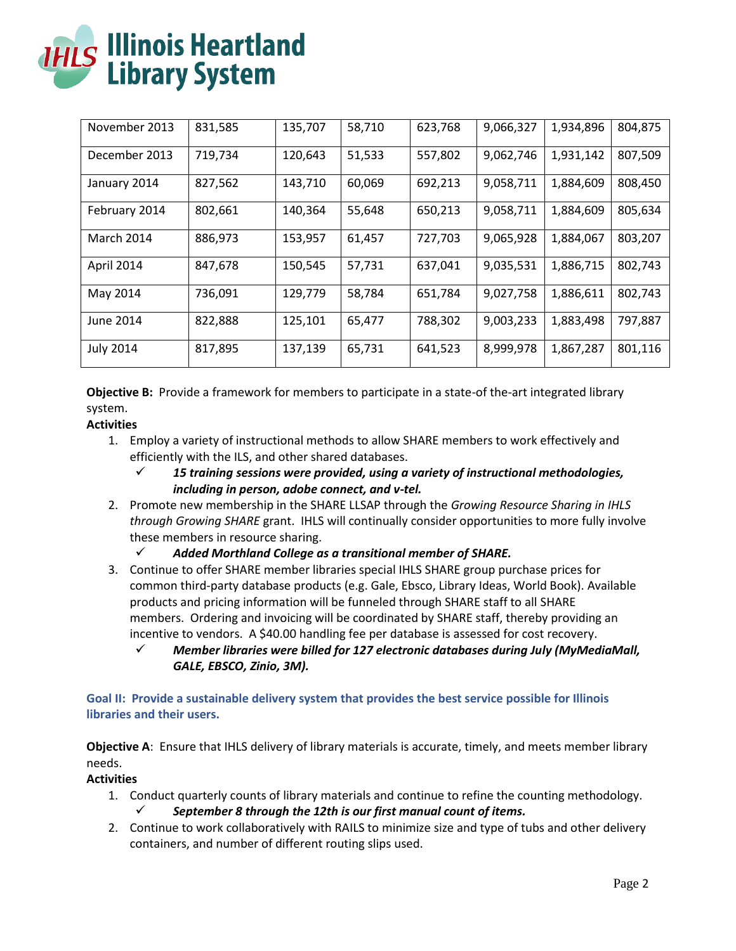| <b>THLS Illinois Heartland</b><br><b>Library System</b> |
|---------------------------------------------------------|

| November 2013    | 831,585 | 135,707 | 58,710 | 623,768 | 9,066,327 | 1,934,896 | 804,875 |
|------------------|---------|---------|--------|---------|-----------|-----------|---------|
| December 2013    | 719,734 | 120,643 | 51,533 | 557,802 | 9,062,746 | 1,931,142 | 807,509 |
| January 2014     | 827,562 | 143,710 | 60,069 | 692,213 | 9,058,711 | 1,884,609 | 808,450 |
| February 2014    | 802,661 | 140,364 | 55,648 | 650,213 | 9,058,711 | 1,884,609 | 805,634 |
| March 2014       | 886,973 | 153,957 | 61,457 | 727,703 | 9,065,928 | 1,884,067 | 803,207 |
| April 2014       | 847,678 | 150,545 | 57,731 | 637,041 | 9,035,531 | 1,886,715 | 802,743 |
| May 2014         | 736,091 | 129,779 | 58,784 | 651,784 | 9,027,758 | 1,886,611 | 802,743 |
| June 2014        | 822,888 | 125,101 | 65,477 | 788,302 | 9,003,233 | 1,883,498 | 797,887 |
| <b>July 2014</b> | 817,895 | 137,139 | 65,731 | 641,523 | 8,999,978 | 1,867,287 | 801,116 |

**Objective B:** Provide a framework for members to participate in a state-of the-art integrated library system.

# **Activities**

- 1. Employ a variety of instructional methods to allow SHARE members to work effectively and efficiently with the ILS, and other shared databases.
	- *15 training sessions were provided, using a variety of instructional methodologies, including in person, adobe connect, and v-tel.*
- 2. Promote new membership in the SHARE LLSAP through the *Growing Resource Sharing in IHLS through Growing SHARE* grant. IHLS will continually consider opportunities to more fully involve these members in resource sharing.
	- *Added Morthland College as a transitional member of SHARE.*
- 3. Continue to offer SHARE member libraries special IHLS SHARE group purchase prices for common third-party database products (e.g. Gale, Ebsco, Library Ideas, World Book). Available products and pricing information will be funneled through SHARE staff to all SHARE members. Ordering and invoicing will be coordinated by SHARE staff, thereby providing an incentive to vendors. A \$40.00 handling fee per database is assessed for cost recovery.
	- *Member libraries were billed for 127 electronic databases during July (MyMediaMall, GALE, EBSCO, Zinio, 3M).*

**Goal II: Provide a sustainable delivery system that provides the best service possible for Illinois libraries and their users.**

**Objective A**: Ensure that IHLS delivery of library materials is accurate, timely, and meets member library needs.

## **Activities**

- 1. Conduct quarterly counts of library materials and continue to refine the counting methodology. *September 8 through the 12th is our first manual count of items.*
- 2. Continue to work collaboratively with RAILS to minimize size and type of tubs and other delivery containers, and number of different routing slips used.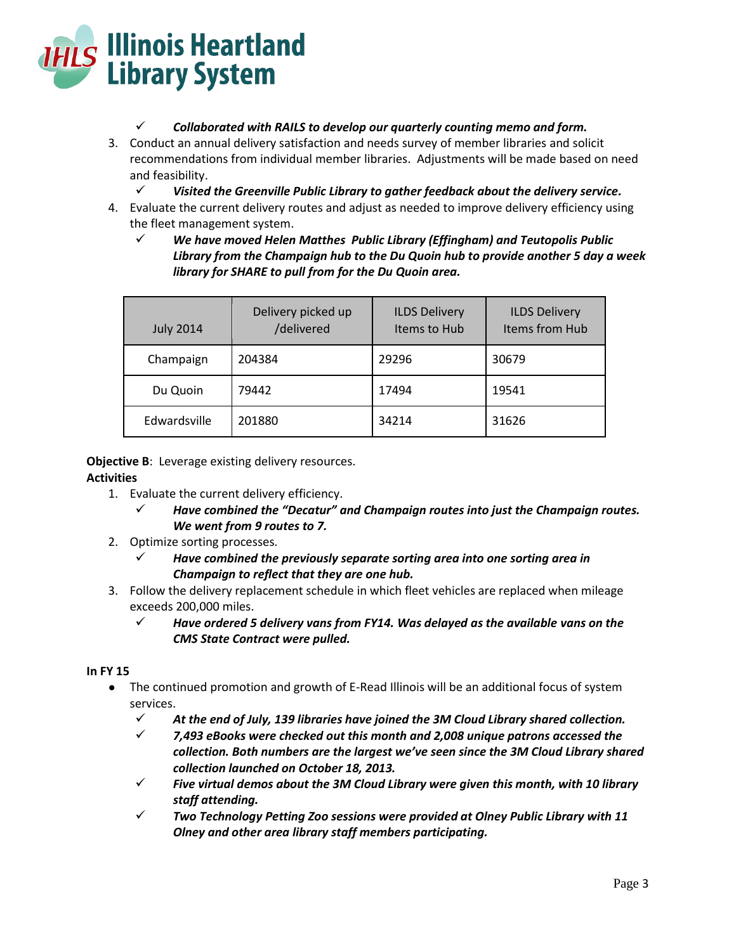

## *Collaborated with RAILS to develop our quarterly counting memo and form.*

- 3. Conduct an annual delivery satisfaction and needs survey of member libraries and solicit recommendations from individual member libraries. Adjustments will be made based on need and feasibility.
	- *Visited the Greenville Public Library to gather feedback about the delivery service.*
- 4. Evaluate the current delivery routes and adjust as needed to improve delivery efficiency using the fleet management system.
	- *We have moved Helen Matthes Public Library (Effingham) and Teutopolis Public Library from the Champaign hub to the Du Quoin hub to provide another 5 day a week library for SHARE to pull from for the Du Quoin area.*

| <b>July 2014</b> | Delivery picked up<br>/delivered | <b>ILDS Delivery</b><br>Items to Hub | <b>ILDS Delivery</b><br>Items from Hub |
|------------------|----------------------------------|--------------------------------------|----------------------------------------|
| Champaign        | 204384                           | 29296                                | 30679                                  |
| Du Quoin         | 79442                            | 17494                                | 19541                                  |
| Edwardsville     | 201880                           | 34214                                | 31626                                  |

**Objective B:** Leverage existing delivery resources.

## **Activities**

- 1. Evaluate the current delivery efficiency.
	- *Have combined the "Decatur" and Champaign routes into just the Champaign routes. We went from 9 routes to 7.*
- 2. Optimize sorting processes.
	- *Have combined the previously separate sorting area into one sorting area in Champaign to reflect that they are one hub.*
- 3. Follow the delivery replacement schedule in which fleet vehicles are replaced when mileage exceeds 200,000 miles.
	- *Have ordered 5 delivery vans from FY14. Was delayed as the available vans on the CMS State Contract were pulled.*

#### **In FY 15**

- The continued promotion and growth of E-Read Illinois will be an additional focus of system services.
	- *At the end of July, 139 libraries have joined the 3M Cloud Library shared collection.*
	- *7,493 eBooks were checked out this month and 2,008 unique patrons accessed the collection. Both numbers are the largest we've seen since the 3M Cloud Library shared collection launched on October 18, 2013.*
	- $\checkmark$  Five virtual demos about the 3M Cloud Library were given this month, with 10 library *staff attending.*
	- *Two Technology Petting Zoo sessions were provided at Olney Public Library with 11 Olney and other area library staff members participating.*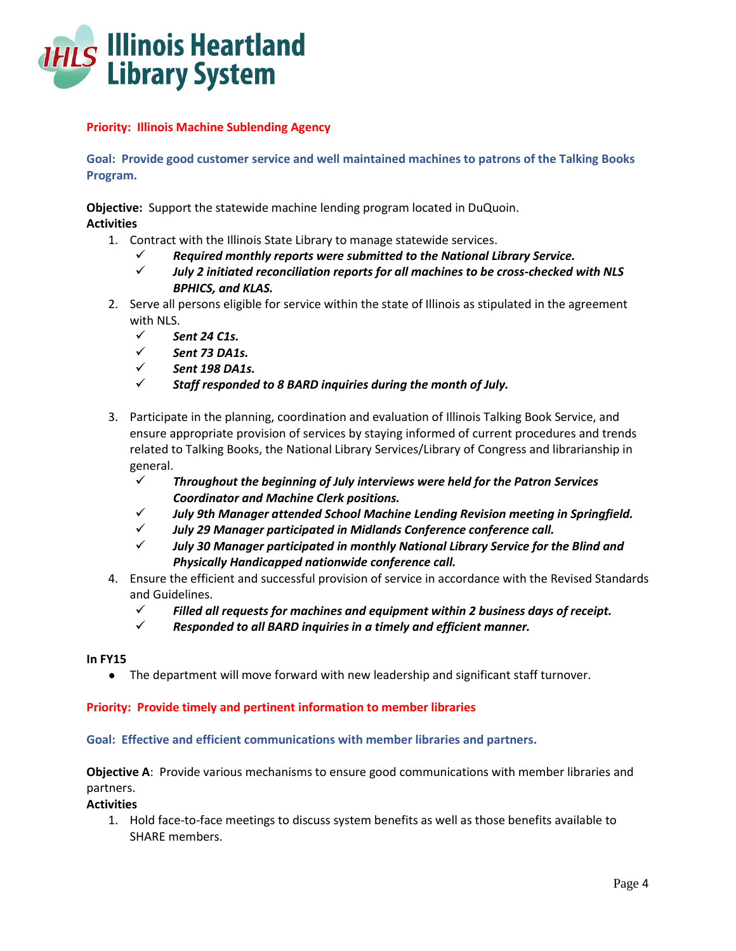

## **Priority: Illinois Machine Sublending Agency**

**Goal: Provide good customer service and well maintained machines to patrons of the Talking Books Program.**

**Objective:** Support the statewide machine lending program located in DuQuoin. **Activities**

- 1. Contract with the Illinois State Library to manage statewide services.
	- *Required monthly reports were submitted to the National Library Service.*
	- *July 2 initiated reconciliation reports for all machines to be cross-checked with NLS BPHICS, and KLAS.*
- 2. Serve all persons eligible for service within the state of Illinois as stipulated in the agreement with NLS.
	- *Sent 24 C1s.*
	- *Sent 73 DA1s.*
	- *Sent 198 DA1s.*
	- *Staff responded to 8 BARD inquiries during the month of July.*
- 3. Participate in the planning, coordination and evaluation of Illinois Talking Book Service, and ensure appropriate provision of services by staying informed of current procedures and trends related to Talking Books, the National Library Services/Library of Congress and librarianship in general.
	- *Throughout the beginning of July interviews were held for the Patron Services Coordinator and Machine Clerk positions.*
	- *July 9th Manager attended School Machine Lending Revision meeting in Springfield.*
	- *July 29 Manager participated in Midlands Conference conference call.*
	- *July 30 Manager participated in monthly National Library Service for the Blind and Physically Handicapped nationwide conference call.*
- 4. Ensure the efficient and successful provision of service in accordance with the Revised Standards and Guidelines.
	- *Filled all requests for machines and equipment within 2 business days of receipt.*
	- *Responded to all BARD inquiries in a timely and efficient manner.*

#### **In FY15**

● The department will move forward with new leadership and significant staff turnover.

#### **Priority: Provide timely and pertinent information to member libraries**

**Goal: Effective and efficient communications with member libraries and partners.**

## **Objective A**: Provide various mechanisms to ensure good communications with member libraries and partners.

#### **Activities**

1. Hold face-to-face meetings to discuss system benefits as well as those benefits available to SHARE members.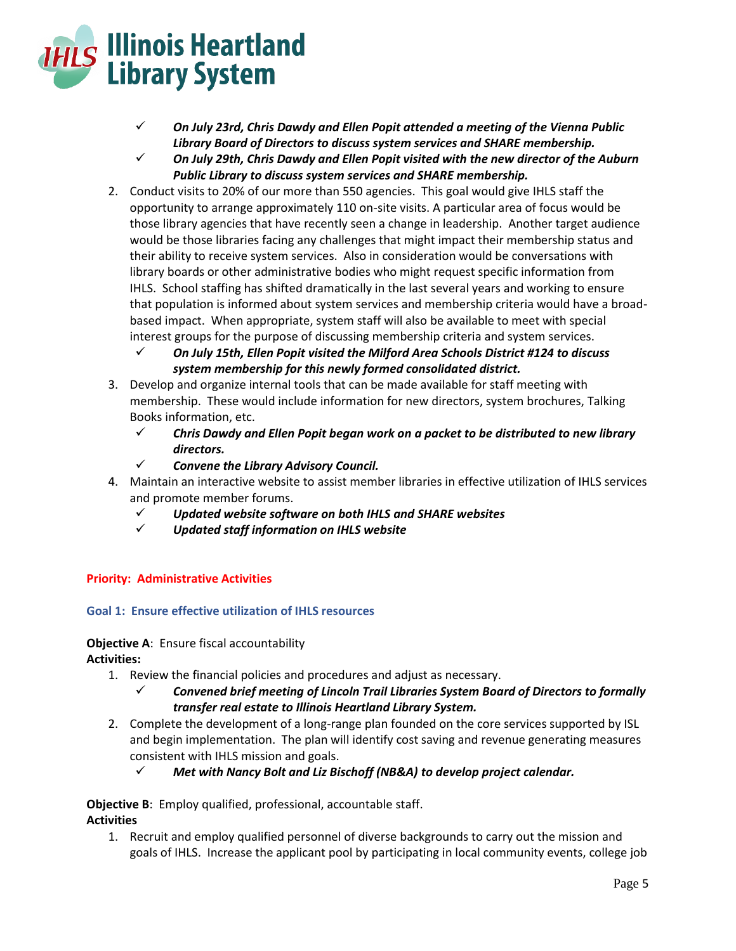

- *On July 23rd, Chris Dawdy and Ellen Popit attended a meeting of the Vienna Public Library Board of Directors to discuss system services and SHARE membership.*
- *On July 29th, Chris Dawdy and Ellen Popit visited with the new director of the Auburn Public Library to discuss system services and SHARE membership.*
- 2. Conduct visits to 20% of our more than 550 agencies. This goal would give IHLS staff the opportunity to arrange approximately 110 on-site visits. A particular area of focus would be those library agencies that have recently seen a change in leadership. Another target audience would be those libraries facing any challenges that might impact their membership status and their ability to receive system services. Also in consideration would be conversations with library boards or other administrative bodies who might request specific information from IHLS. School staffing has shifted dramatically in the last several years and working to ensure that population is informed about system services and membership criteria would have a broadbased impact. When appropriate, system staff will also be available to meet with special interest groups for the purpose of discussing membership criteria and system services.
	- *On July 15th, Ellen Popit visited the Milford Area Schools District #124 to discuss system membership for this newly formed consolidated district.*
- 3. Develop and organize internal tools that can be made available for staff meeting with membership. These would include information for new directors, system brochures, Talking Books information, etc.
	- *Chris Dawdy and Ellen Popit began work on a packet to be distributed to new library directors.*
	- *Convene the Library Advisory Council.*
- 4. Maintain an interactive website to assist member libraries in effective utilization of IHLS services and promote member forums.
	- *Updated website software on both IHLS and SHARE websites*
	- *Updated staff information on IHLS website*

## **Priority: Administrative Activities**

## **Goal 1: Ensure effective utilization of IHLS resources**

#### **Objective A**: Ensure fiscal accountability **Activities:**

- 1. Review the financial policies and procedures and adjust as necessary.
	- *Convened brief meeting of Lincoln Trail Libraries System Board of Directors to formally transfer real estate to Illinois Heartland Library System.*
- 2. Complete the development of a long-range plan founded on the core services supported by ISL and begin implementation. The plan will identify cost saving and revenue generating measures consistent with IHLS mission and goals.
	- *Met with Nancy Bolt and Liz Bischoff (NB&A) to develop project calendar.*

# **Objective B**: Employ qualified, professional, accountable staff.

# **Activities**

1. Recruit and employ qualified personnel of diverse backgrounds to carry out the mission and goals of IHLS. Increase the applicant pool by participating in local community events, college job